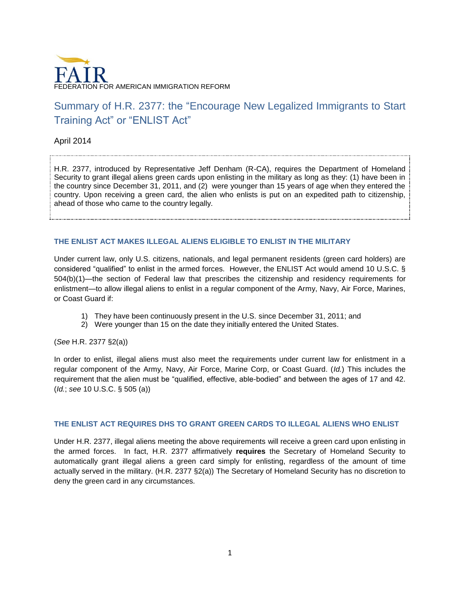

# Summary of H.R. 2377: the "Encourage New Legalized Immigrants to Start Training Act" or "ENLIST Act"

April 2014

H.R. 2377, introduced by Representative Jeff Denham (R-CA), requires the Department of Homeland Security to grant illegal aliens green cards upon enlisting in the military as long as they: (1) have been in the country since December 31, 2011, and (2) were younger than 15 years of age when they entered the country. Upon receiving a green card, the alien who enlists is put on an expedited path to citizenship, ahead of those who came to the country legally.

### **THE ENLIST ACT MAKES ILLEGAL ALIENS ELIGIBLE TO ENLIST IN THE MILITARY**

Under current law, only U.S. citizens, nationals, and legal permanent residents (green card holders) are considered "qualified" to enlist in the armed forces. However, the ENLIST Act would amend 10 U.S.C. § 504(b)(1)—the section of Federal law that prescribes the citizenship and residency requirements for enlistment—to allow illegal aliens to enlist in a regular component of the Army, Navy, Air Force, Marines, or Coast Guard if:

- 1) They have been continuously present in the U.S. since December 31, 2011; and
- 2) Were younger than 15 on the date they initially entered the United States.

(*See* H.R. 2377 §2(a))

In order to enlist, illegal aliens must also meet the requirements under current law for enlistment in a regular component of the Army, Navy, Air Force, Marine Corp, or Coast Guard. (*Id.*) This includes the requirement that the alien must be "qualified, effective, able-bodied" and between the ages of 17 and 42. (*Id.*; *see* 10 U.S.C. § 505 (a))

### **THE ENLIST ACT REQUIRES DHS TO GRANT GREEN CARDS TO ILLEGAL ALIENS WHO ENLIST**

Under H.R. 2377, illegal aliens meeting the above requirements will receive a green card upon enlisting in the armed forces. In fact, H.R. 2377 affirmatively **requires** the Secretary of Homeland Security to automatically grant illegal aliens a green card simply for enlisting, regardless of the amount of time actually served in the military. (H.R. 2377 §2(a)) The Secretary of Homeland Security has no discretion to deny the green card in any circumstances.